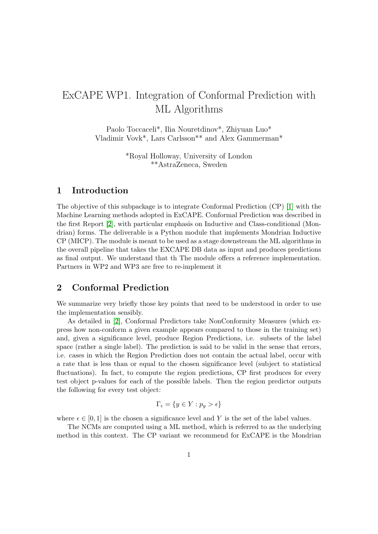# ExCAPE WP1. Integration of Conformal Prediction with ML Algorithms

Paolo Toccaceli\*, Ilia Nouretdinov\*, Zhiyuan Luo\* Vladimir Vovk\*, Lars Carlsson\*\* and Alex Gammerman\*

> \*Royal Holloway, University of London \*\*AstraZeneca, Sweden

### 1 Introduction

The objective of this subpackage is to integrate Conformal Prediction (CP) [\[1\]](#page-2-0) with the Machine Learning methods adopted in ExCAPE. Conformal Prediction was described in the first Report [\[2\]](#page-2-1), with particular emphasis on Inductive and Class-conditional (Mondrian) forms. The deliverable is a Python module that implements Mondrian Inductive CP (MICP). The module is meant to be used as a stage downstream the ML algorithms in the overall pipeline that takes the EXCAPE DB data as input and produces predictions as final output. We understand that th The module offers a reference implementation. Partners in WP2 and WP3 are free to re-implement it

## 2 Conformal Prediction

We summarize very briefly those key points that need to be understood in order to use the implementation sensibly.

As detailed in [\[2\]](#page-2-1), Conformal Predictors take NonConformity Measures (which express how non-conform a given example appears compared to those in the training set) and, given a significance level, produce Region Predictions, i.e. subsets of the label space (rather a single label). The prediction is said to be valid in the sense that errors, i.e. cases in which the Region Prediction does not contain the actual label, occur with a rate that is less than or equal to the chosen significance level (subject to statistical fluctuations). In fact, to compute the region predictions, CP first produces for every test object p-values for each of the possible labels. Then the region predictor outputs the following for every test object:

$$
\Gamma_{\epsilon} = \{ y \in Y : p_y > \epsilon \}
$$

where  $\epsilon \in [0,1]$  is the chosen a significance level and Y is the set of the label values.

The NCMs are computed using a ML method, which is referred to as the underlying method in this context. The CP variant we recommend for ExCAPE is the Mondrian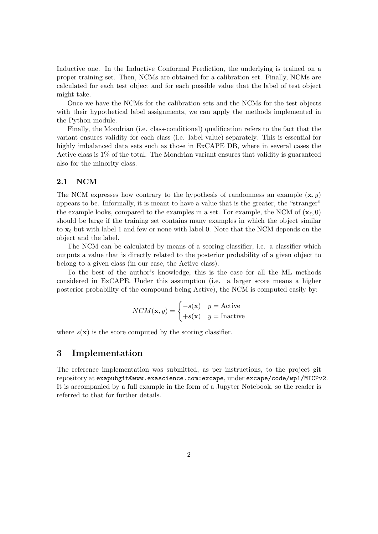Inductive one. In the Inductive Conformal Prediction, the underlying is trained on a proper training set. Then, NCMs are obtained for a calibration set. Finally, NCMs are calculated for each test object and for each possible value that the label of test object might take.

Once we have the NCMs for the calibration sets and the NCMs for the test objects with their hypothetical label assignments, we can apply the methods implemented in the Python module.

Finally, the Mondrian (i.e. class-conditional) qualification refers to the fact that the variant ensures validity for each class (i.e. label value) separately. This is essential for highly imbalanced data sets such as those in ExCAPE DB, where in several cases the Active class is 1% of the total. The Mondrian variant ensures that validity is guaranteed also for the minority class.

#### 2.1 NCM

The NCM expresses how contrary to the hypothesis of randomness an example  $(x, y)$ appears to be. Informally, it is meant to have a value that is the greater, the "stranger" the example looks, compared to the examples in a set. For example, the NCM of  $(\mathbf{x}_{\ell}, 0)$ should be large if the training set contains many examples in which the object similar to  $\mathbf{x}_{\ell}$  but with label 1 and few or none with label 0. Note that the NCM depends on the object and the label.

The NCM can be calculated by means of a scoring classifier, i.e. a classifier which outputs a value that is directly related to the posterior probability of a given object to belong to a given class (in our case, the Active class).

To the best of the author's knowledge, this is the case for all the ML methods considered in ExCAPE. Under this assumption (i.e. a larger score means a higher posterior probability of the compound being Active), the NCM is computed easily by:

$$
NCM(\mathbf{x}, y) = \begin{cases} -s(\mathbf{x}) & y = \text{Active} \\ +s(\mathbf{x}) & y = \text{Inactive} \end{cases}
$$

where  $s(\mathbf{x})$  is the score computed by the scoring classifier.

#### 3 Implementation

The reference implementation was submitted, as per instructions, to the project git repository at exapubgit@www.exascience.com:excape, under excape/code/wp1/MICPv2. It is accompanied by a full example in the form of a Jupyter Notebook, so the reader is referred to that for further details.